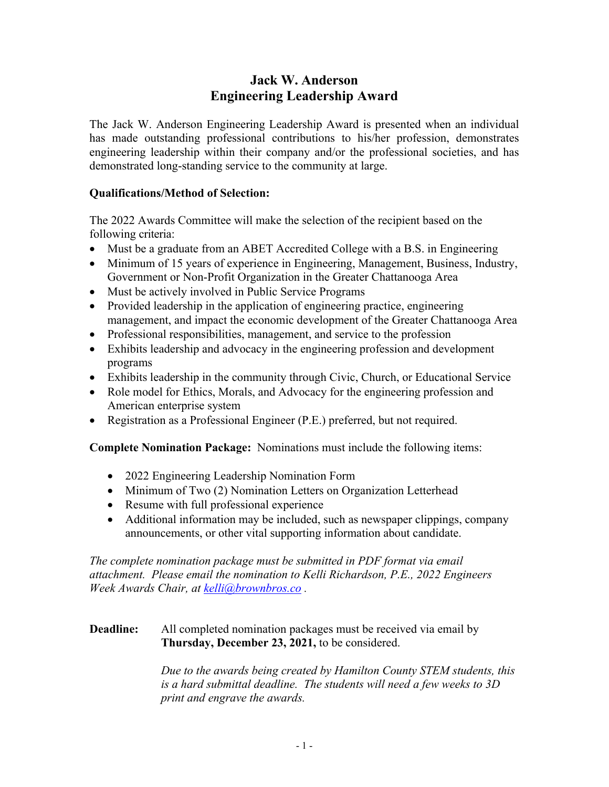# **Jack W. Anderson Engineering Leadership Award**

The Jack W. Anderson Engineering Leadership Award is presented when an individual has made outstanding professional contributions to his/her profession, demonstrates engineering leadership within their company and/or the professional societies, and has demonstrated long-standing service to the community at large.

#### **Qualifications/Method of Selection:**

The 2022 Awards Committee will make the selection of the recipient based on the following criteria:

- Must be a graduate from an ABET Accredited College with a B.S. in Engineering
- Minimum of 15 years of experience in Engineering, Management, Business, Industry, Government or Non-Profit Organization in the Greater Chattanooga Area
- Must be actively involved in Public Service Programs
- Provided leadership in the application of engineering practice, engineering management, and impact the economic development of the Greater Chattanooga Area
- Professional responsibilities, management, and service to the profession
- Exhibits leadership and advocacy in the engineering profession and development programs
- Exhibits leadership in the community through Civic, Church, or Educational Service
- Role model for Ethics, Morals, and Advocacy for the engineering profession and American enterprise system
- Registration as a Professional Engineer (P.E.) preferred, but not required.

**Complete Nomination Package:** Nominations must include the following items:

- 2022 Engineering Leadership Nomination Form
- Minimum of Two (2) Nomination Letters on Organization Letterhead
- Resume with full professional experience
- Additional information may be included, such as newspaper clippings, company announcements, or other vital supporting information about candidate.

*The complete nomination package must be submitted in PDF format via email attachment. Please email the nomination to Kelli Richardson, P.E., 2022 Engineers Week Awards Chair, at kelli@brownbros.co .* 

#### **Deadline:** All completed nomination packages must be received via email by **Thursday, December 23, 2021,** to be considered.

 *Due to the awards being created by Hamilton County STEM students, this is a hard submittal deadline. The students will need a few weeks to 3D print and engrave the awards.*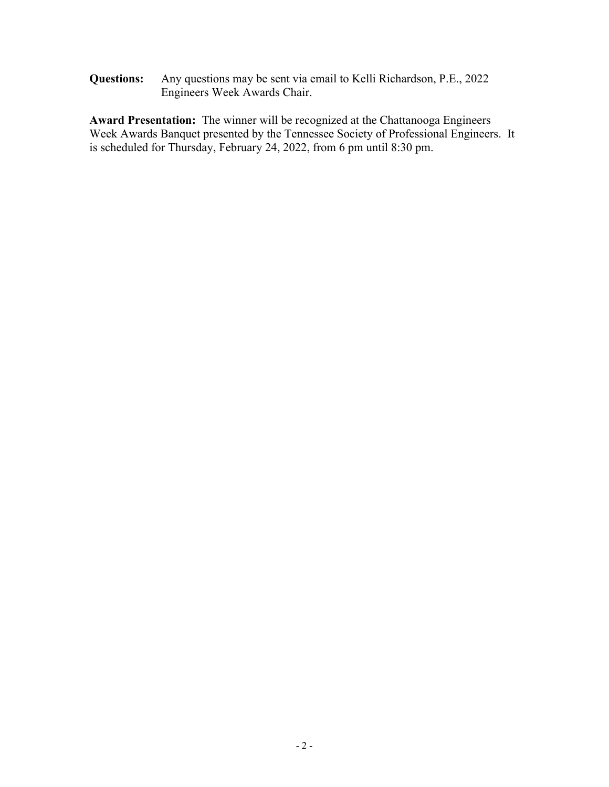**Questions:** Any questions may be sent via email to Kelli Richardson, P.E., 2022 Engineers Week Awards Chair.

**Award Presentation:** The winner will be recognized at the Chattanooga Engineers Week Awards Banquet presented by the Tennessee Society of Professional Engineers. It is scheduled for Thursday, February 24, 2022, from 6 pm until 8:30 pm.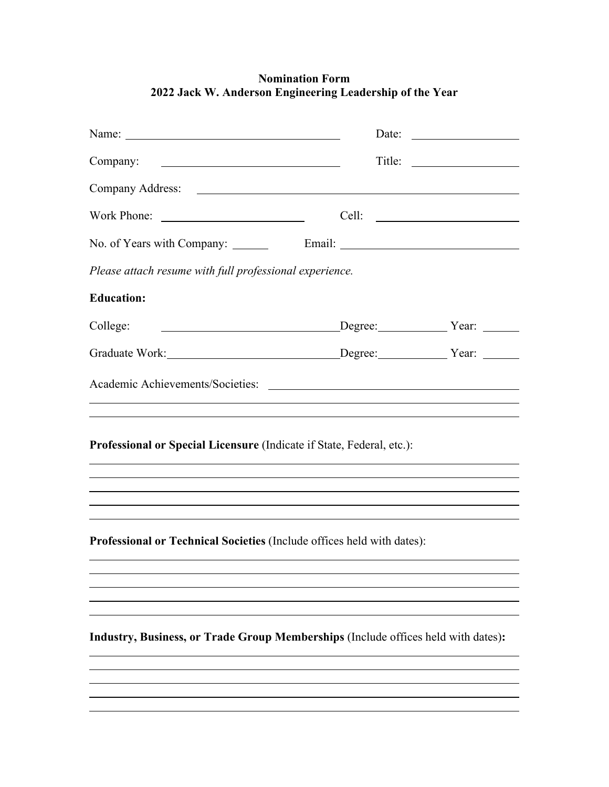|                                                                                                                                                                      |       | Date:           |
|----------------------------------------------------------------------------------------------------------------------------------------------------------------------|-------|-----------------|
| Company:                                                                                                                                                             |       | $\text{Title:}$ |
|                                                                                                                                                                      |       |                 |
| Work Phone:                                                                                                                                                          | Cell: |                 |
|                                                                                                                                                                      |       |                 |
| Please attach resume with full professional experience.                                                                                                              |       |                 |
| <b>Education:</b>                                                                                                                                                    |       |                 |
| College:<br>Degree: Year: Year:                                                                                                                                      |       |                 |
| Graduate Work: Degree: Vear: Year: Vear:                                                                                                                             |       |                 |
|                                                                                                                                                                      |       |                 |
| Professional or Special Licensure (Indicate if State, Federal, etc.):                                                                                                |       |                 |
| ,我们也不会有什么。""我们的人,我们也不会有什么?""我们的人,我们也不会有什么?""我们的人,我们也不会有什么?""我们的人,我们也不会有什么?""我们的人<br>,我们也不会有什么。""我们的人,我们也不会有什么?""我们的人,我们也不会有什么?""我们的人,我们也不会有什么?""我们的人,我们也不会有什么?""我们的人 |       |                 |
| ,我们也不能在这里的时候,我们也不能在这里的时候,我们也不能会在这里的时候,我们也不能会在这里的时候,我们也不能会在这里的时候,我们也不能会在这里的时候,我们也不<br>Professional or Technical Societies (Include offices held with dates):          |       |                 |
|                                                                                                                                                                      |       |                 |
| Industry, Business, or Trade Group Memberships (Include offices held with dates):                                                                                    |       |                 |
|                                                                                                                                                                      |       |                 |

 $\overline{a}$ 

## **Nomination Form 2022 Jack W. Anderson Engineering Leadership of the Year**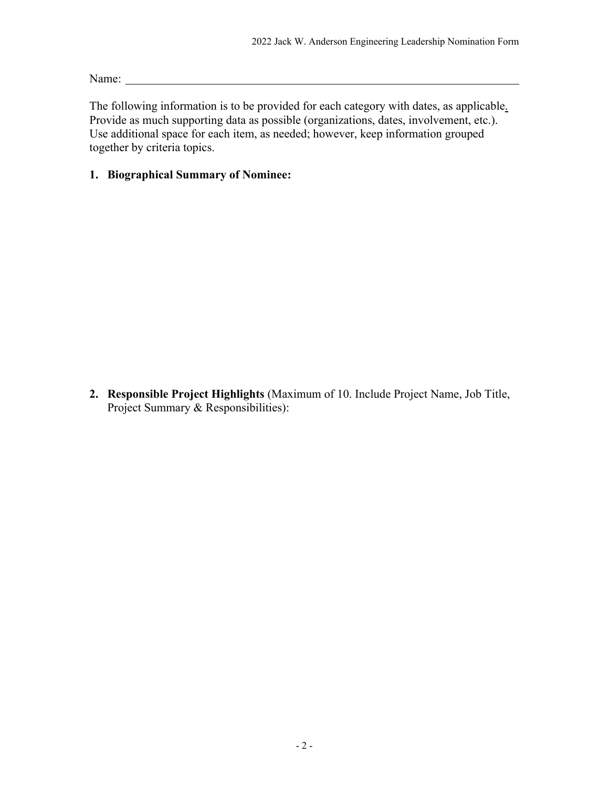Name: Name: Name: Name: Name: Name: Name: Name: Name: Name: Name: Name: Name: Name: Name: Name: Name: Name: Name: Name: Name: Name: Name: Name: Name: Name: Name: Name: Name: Name: Name: Name: Name: Name: Name: Name: Name:

The following information is to be provided for each category with dates, as applicable. Provide as much supporting data as possible (organizations, dates, involvement, etc.). Use additional space for each item, as needed; however, keep information grouped together by criteria topics.

### **1. Biographical Summary of Nominee:**

**2. Responsible Project Highlights** (Maximum of 10. Include Project Name, Job Title, Project Summary & Responsibilities):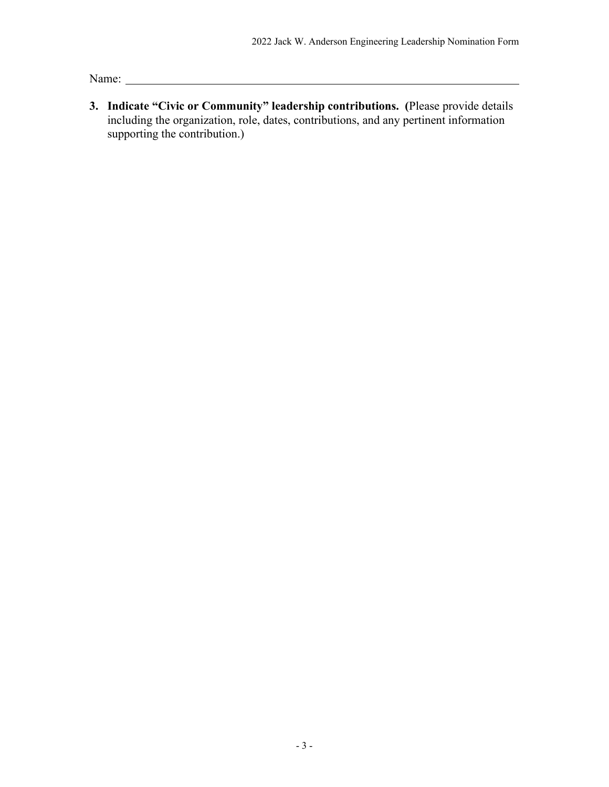Name: Name and the set of the set of the set of the set of the set of the set of the set of the set of the set of the set of the set of the set of the set of the set of the set of the set of the set of the set of the set o

**3. Indicate "Civic or Community" leadership contributions. (**Please provide details including the organization, role, dates, contributions, and any pertinent information supporting the contribution.)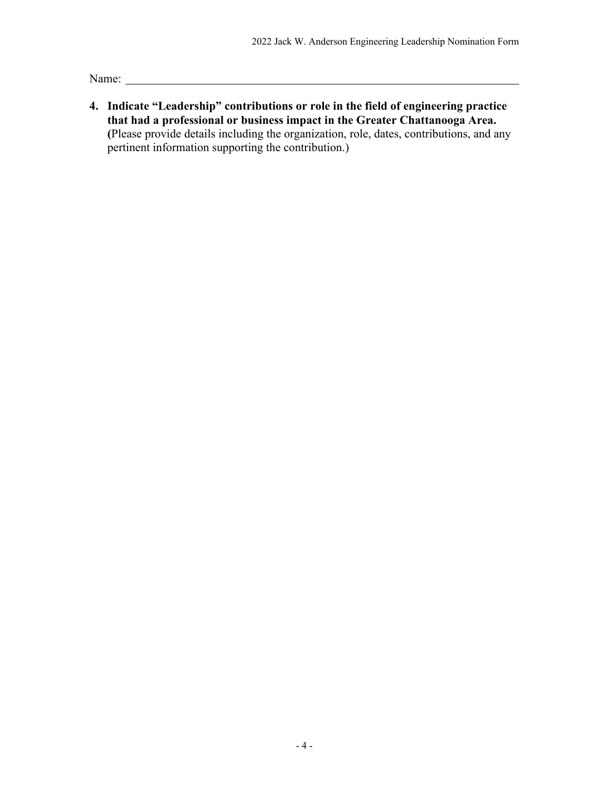Name: Name:

**4. Indicate "Leadership" contributions or role in the field of engineering practice that had a professional or business impact in the Greater Chattanooga Area. (**Please provide details including the organization, role, dates, contributions, and any pertinent information supporting the contribution.)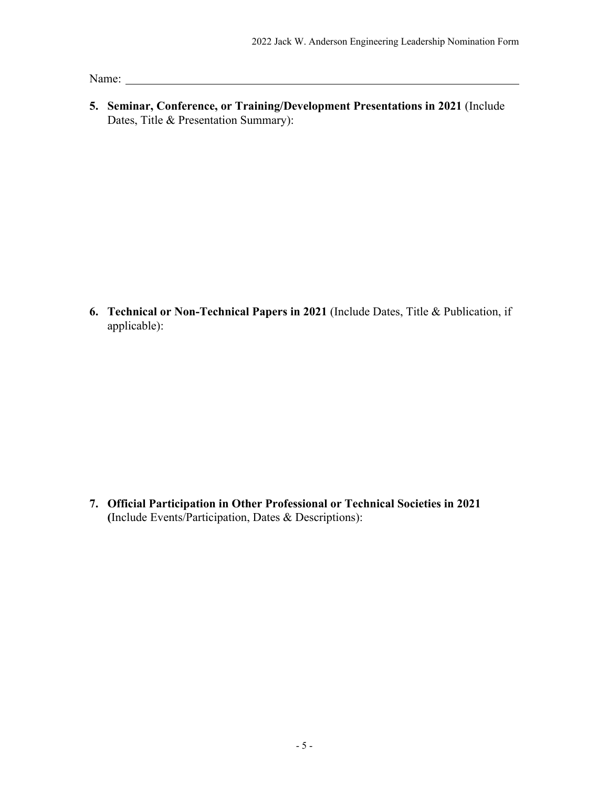Name: Name:

**5. Seminar, Conference, or Training/Development Presentations in 2021** (Include Dates, Title & Presentation Summary):

**6. Technical or Non-Technical Papers in 2021** (Include Dates, Title & Publication, if applicable):

**7. Official Participation in Other Professional or Technical Societies in 2021 (**Include Events/Participation, Dates & Descriptions):